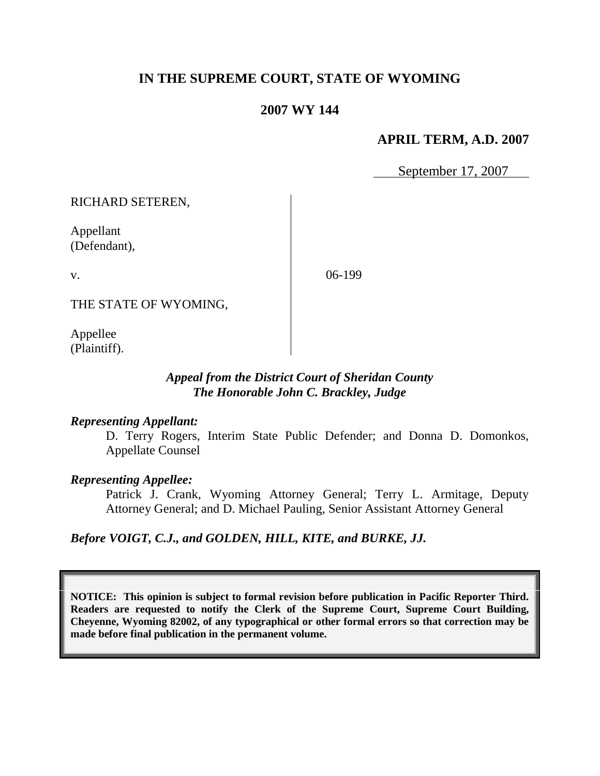# **IN THE SUPREME COURT, STATE OF WYOMING**

## **2007 WY 144**

## **APRIL TERM, A.D. 2007**

September 17, 2007

RICHARD SETEREN,

Appellant (Defendant),

v.

06-199

THE STATE OF WYOMING,

Appellee (Plaintiff).

## *Appeal from the District Court of Sheridan County The Honorable John C. Brackley, Judge*

#### *Representing Appellant:*

D. Terry Rogers, Interim State Public Defender; and Donna D. Domonkos, Appellate Counsel

## *Representing Appellee:*

Patrick J. Crank, Wyoming Attorney General; Terry L. Armitage, Deputy Attorney General; and D. Michael Pauling, Senior Assistant Attorney General

*Before VOIGT, C.J., and GOLDEN, HILL, KITE, and BURKE, JJ.*

**NOTICE: This opinion is subject to formal revision before publication in Pacific Reporter Third. Readers are requested to notify the Clerk of the Supreme Court, Supreme Court Building, Cheyenne, Wyoming 82002, of any typographical or other formal errors so that correction may be made before final publication in the permanent volume.**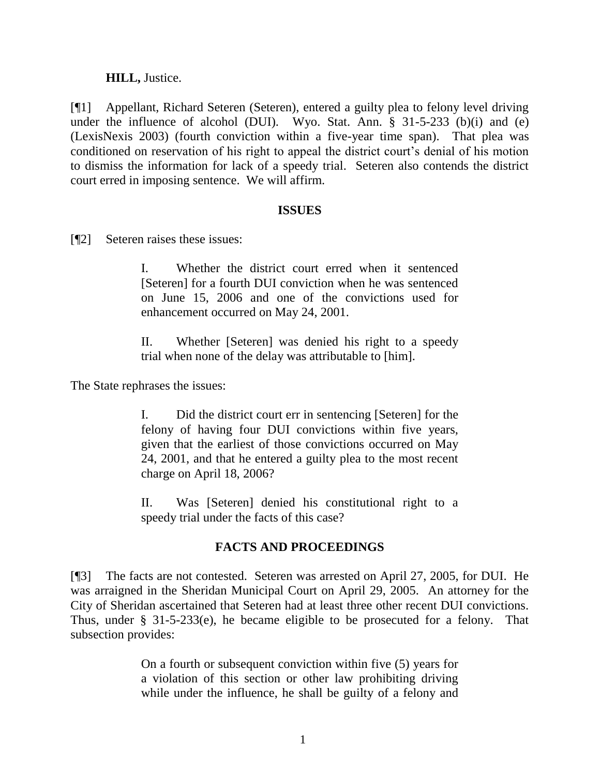### **HILL,** Justice.

[¶1] Appellant, Richard Seteren (Seteren), entered a guilty plea to felony level driving under the influence of alcohol (DUI). Wyo. Stat. Ann. § 31-5-233 (b)(i) and (e) (LexisNexis 2003) (fourth conviction within a five-year time span). That plea was conditioned on reservation of his right to appeal the district court's denial of his motion to dismiss the information for lack of a speedy trial. Seteren also contends the district court erred in imposing sentence. We will affirm.

#### **ISSUES**

[¶2] Seteren raises these issues:

I. Whether the district court erred when it sentenced [Seteren] for a fourth DUI conviction when he was sentenced on June 15, 2006 and one of the convictions used for enhancement occurred on May 24, 2001.

II. Whether [Seteren] was denied his right to a speedy trial when none of the delay was attributable to [him].

The State rephrases the issues:

I. Did the district court err in sentencing [Seteren] for the felony of having four DUI convictions within five years, given that the earliest of those convictions occurred on May 24, 2001, and that he entered a guilty plea to the most recent charge on April 18, 2006?

II. Was [Seteren] denied his constitutional right to a speedy trial under the facts of this case?

## **FACTS AND PROCEEDINGS**

[¶3] The facts are not contested. Seteren was arrested on April 27, 2005, for DUI. He was arraigned in the Sheridan Municipal Court on April 29, 2005. An attorney for the City of Sheridan ascertained that Seteren had at least three other recent DUI convictions. Thus, under § 31-5-233(e), he became eligible to be prosecuted for a felony. That subsection provides:

> On a fourth or subsequent conviction within five (5) years for a violation of this section or other law prohibiting driving while under the influence, he shall be guilty of a felony and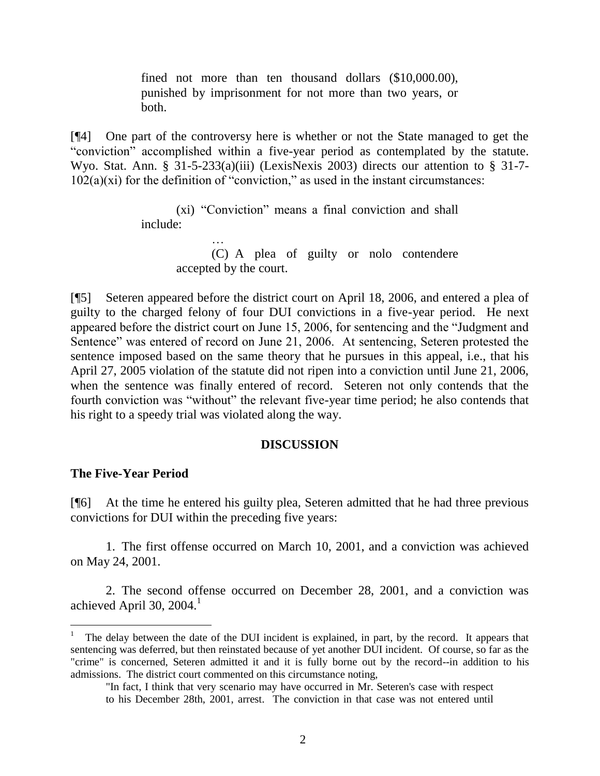fined not more than ten thousand dollars (\$10,000.00), punished by imprisonment for not more than two years, or both.

[¶4] One part of the controversy here is whether or not the State managed to get the "conviction" accomplished within a five-year period as contemplated by the statute. Wyo. Stat. Ann. § 31-5-233(a)(iii) (LexisNexis 2003) directs our attention to § 31-7- $102(a)(xi)$  for the definition of "conviction," as used in the instant circumstances:

> (xi) "Conviction" means a final conviction and shall include:

> > …

(C) A plea of guilty or nolo contendere accepted by the court.

[¶5] Seteren appeared before the district court on April 18, 2006, and entered a plea of guilty to the charged felony of four DUI convictions in a five-year period. He next appeared before the district court on June 15, 2006, for sentencing and the "Judgment and Sentence" was entered of record on June 21, 2006. At sentencing, Seteren protested the sentence imposed based on the same theory that he pursues in this appeal, i.e., that his April 27, 2005 violation of the statute did not ripen into a conviction until June 21, 2006, when the sentence was finally entered of record. Seteren not only contends that the fourth conviction was "without" the relevant five-year time period; he also contends that his right to a speedy trial was violated along the way.

#### **DISCUSSION**

#### **The Five-Year Period**

 $\overline{a}$ 

[¶6] At the time he entered his guilty plea, Seteren admitted that he had three previous convictions for DUI within the preceding five years:

1. The first offense occurred on March 10, 2001, and a conviction was achieved on May 24, 2001.

2. The second offense occurred on December 28, 2001, and a conviction was achieved April 30, 2004. $^1$ 

<sup>1</sup> The delay between the date of the DUI incident is explained, in part, by the record. It appears that sentencing was deferred, but then reinstated because of yet another DUI incident. Of course, so far as the "crime" is concerned, Seteren admitted it and it is fully borne out by the record--in addition to his admissions. The district court commented on this circumstance noting,

<sup>&</sup>quot;In fact, I think that very scenario may have occurred in Mr. Seteren's case with respect to his December 28th, 2001, arrest. The conviction in that case was not entered until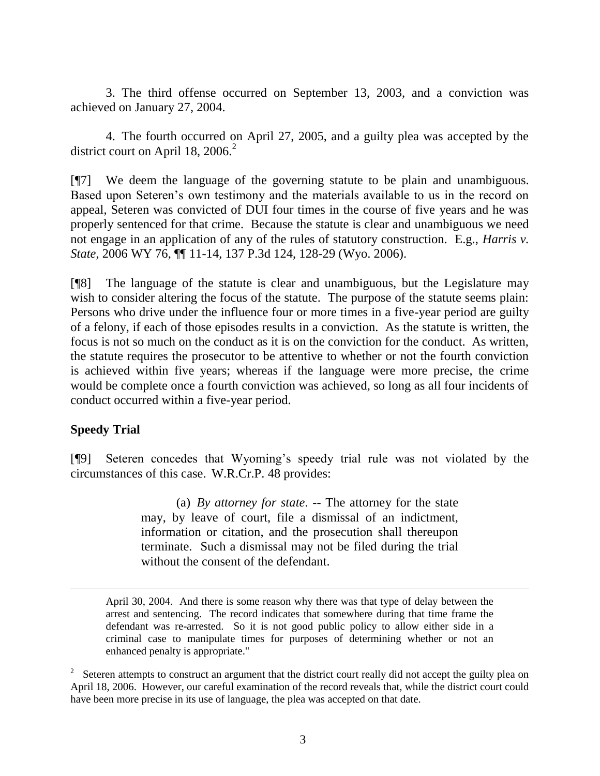3. The third offense occurred on September 13, 2003, and a conviction was achieved on January 27, 2004.

4. The fourth occurred on April 27, 2005, and a guilty plea was accepted by the district court on April 18, 2006. $^2$ 

[¶7] We deem the language of the governing statute to be plain and unambiguous. Based upon Seteren's own testimony and the materials available to us in the record on appeal, Seteren was convicted of DUI four times in the course of five years and he was properly sentenced for that crime. Because the statute is clear and unambiguous we need not engage in an application of any of the rules of statutory construction. E.g., *Harris v. State*, 2006 WY 76, ¶¶ 11-14, 137 P.3d 124, 128-29 (Wyo. 2006).

[¶8] The language of the statute is clear and unambiguous, but the Legislature may wish to consider altering the focus of the statute. The purpose of the statute seems plain: Persons who drive under the influence four or more times in a five-year period are guilty of a felony, if each of those episodes results in a conviction. As the statute is written, the focus is not so much on the conduct as it is on the conviction for the conduct. As written, the statute requires the prosecutor to be attentive to whether or not the fourth conviction is achieved within five years; whereas if the language were more precise, the crime would be complete once a fourth conviction was achieved, so long as all four incidents of conduct occurred within a five-year period.

## **Speedy Trial**

l

[¶9] Seteren concedes that Wyoming's speedy trial rule was not violated by the circumstances of this case. W.R.Cr.P. 48 provides:

> (a) *By attorney for state*. -- The attorney for the state may, by leave of court, file a dismissal of an indictment, information or citation, and the prosecution shall thereupon terminate. Such a dismissal may not be filed during the trial without the consent of the defendant.

April 30, 2004. And there is some reason why there was that type of delay between the arrest and sentencing. The record indicates that somewhere during that time frame the defendant was re-arrested. So it is not good public policy to allow either side in a criminal case to manipulate times for purposes of determining whether or not an enhanced penalty is appropriate."

 $2^2$  Seteren attempts to construct an argument that the district court really did not accept the guilty plea on April 18, 2006. However, our careful examination of the record reveals that, while the district court could have been more precise in its use of language, the plea was accepted on that date.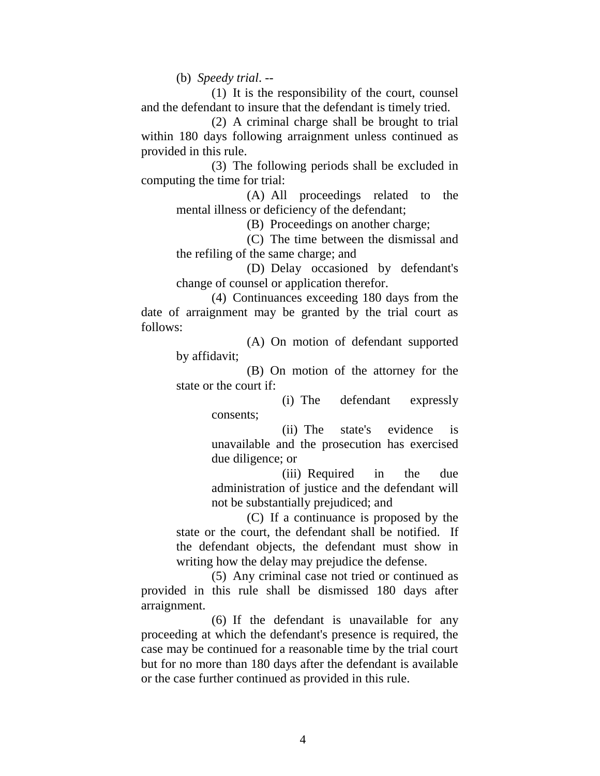(b) *Speedy trial*. --

(1) It is the responsibility of the court, counsel and the defendant to insure that the defendant is timely tried.

(2) A criminal charge shall be brought to trial within 180 days following arraignment unless continued as provided in this rule.

(3) The following periods shall be excluded in computing the time for trial:

(A) All proceedings related to the mental illness or deficiency of the defendant;

(B) Proceedings on another charge;

(C) The time between the dismissal and the refiling of the same charge; and

(D) Delay occasioned by defendant's change of counsel or application therefor.

(4) Continuances exceeding 180 days from the date of arraignment may be granted by the trial court as follows:

> (A) On motion of defendant supported by affidavit;

> (B) On motion of the attorney for the state or the court if:

> > (i) The defendant expressly consents;

> > (ii) The state's evidence is unavailable and the prosecution has exercised due diligence; or

> > (iii) Required in the due administration of justice and the defendant will not be substantially prejudiced; and

(C) If a continuance is proposed by the state or the court, the defendant shall be notified. If the defendant objects, the defendant must show in writing how the delay may prejudice the defense.

(5) Any criminal case not tried or continued as provided in this rule shall be dismissed 180 days after arraignment.

(6) If the defendant is unavailable for any proceeding at which the defendant's presence is required, the case may be continued for a reasonable time by the trial court but for no more than 180 days after the defendant is available or the case further continued as provided in this rule.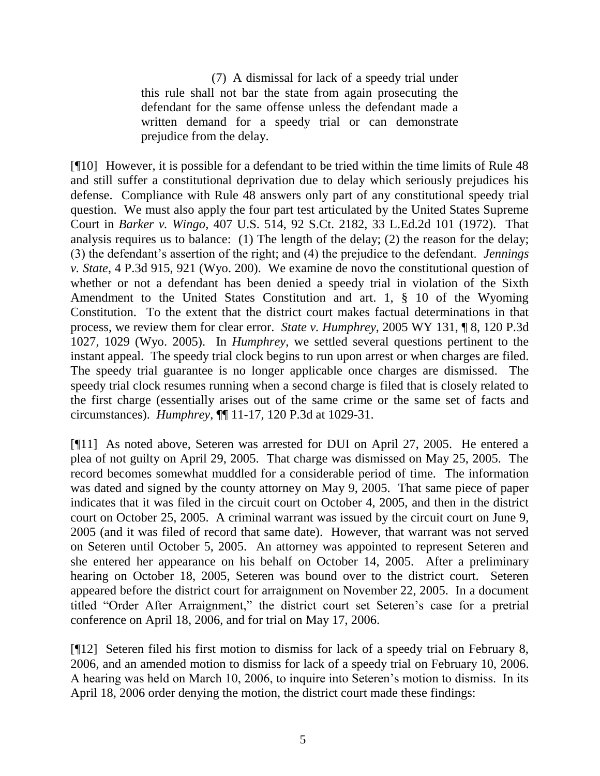(7) A dismissal for lack of a speedy trial under this rule shall not bar the state from again prosecuting the defendant for the same offense unless the defendant made a written demand for a speedy trial or can demonstrate prejudice from the delay.

[¶10] However, it is possible for a defendant to be tried within the time limits of Rule 48 and still suffer a constitutional deprivation due to delay which seriously prejudices his defense. Compliance with Rule 48 answers only part of any constitutional speedy trial question. We must also apply the four part test articulated by the United States Supreme Court in *Barker v. Wingo*, 407 U.S. 514, 92 S.Ct. 2182, 33 L.Ed.2d 101 (1972). That analysis requires us to balance: (1) The length of the delay; (2) the reason for the delay; (3) the defendant's assertion of the right; and (4) the prejudice to the defendant. *Jennings v. State*, 4 P.3d 915, 921 (Wyo. 200). We examine de novo the constitutional question of whether or not a defendant has been denied a speedy trial in violation of the Sixth Amendment to the United States Constitution and art. 1, § 10 of the Wyoming Constitution. To the extent that the district court makes factual determinations in that process, we review them for clear error. *State v. Humphrey*, 2005 WY 131, ¶ 8, 120 P.3d 1027, 1029 (Wyo. 2005). In *Humphrey*, we settled several questions pertinent to the instant appeal. The speedy trial clock begins to run upon arrest or when charges are filed. The speedy trial guarantee is no longer applicable once charges are dismissed. The speedy trial clock resumes running when a second charge is filed that is closely related to the first charge (essentially arises out of the same crime or the same set of facts and circumstances). *Humphrey*, ¶¶ 11-17, 120 P.3d at 1029-31.

[¶11] As noted above, Seteren was arrested for DUI on April 27, 2005. He entered a plea of not guilty on April 29, 2005. That charge was dismissed on May 25, 2005. The record becomes somewhat muddled for a considerable period of time. The information was dated and signed by the county attorney on May 9, 2005. That same piece of paper indicates that it was filed in the circuit court on October 4, 2005, and then in the district court on October 25, 2005. A criminal warrant was issued by the circuit court on June 9, 2005 (and it was filed of record that same date). However, that warrant was not served on Seteren until October 5, 2005. An attorney was appointed to represent Seteren and she entered her appearance on his behalf on October 14, 2005. After a preliminary hearing on October 18, 2005, Seteren was bound over to the district court. Seteren appeared before the district court for arraignment on November 22, 2005. In a document titled "Order After Arraignment," the district court set Seteren's case for a pretrial conference on April 18, 2006, and for trial on May 17, 2006.

[¶12] Seteren filed his first motion to dismiss for lack of a speedy trial on February 8, 2006, and an amended motion to dismiss for lack of a speedy trial on February 10, 2006. A hearing was held on March 10, 2006, to inquire into Seteren's motion to dismiss. In its April 18, 2006 order denying the motion, the district court made these findings: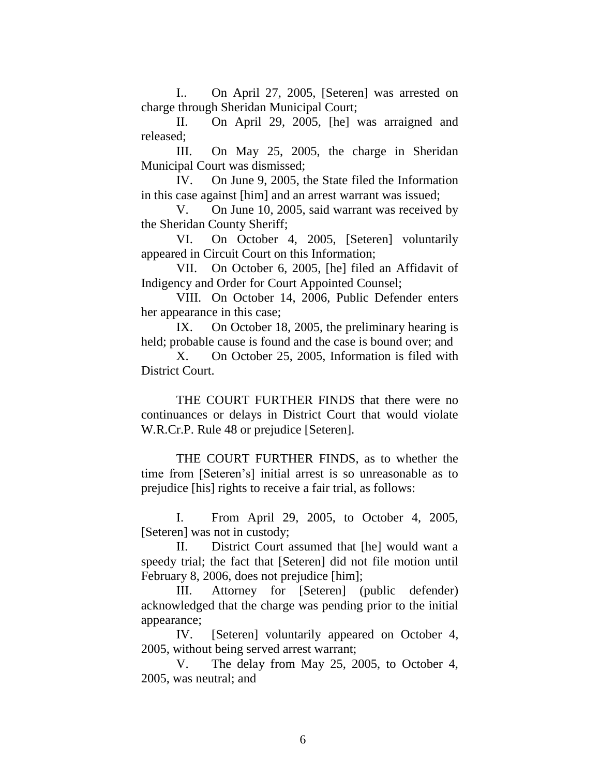I.. On April 27, 2005, [Seteren] was arrested on charge through Sheridan Municipal Court;

II. On April 29, 2005, [he] was arraigned and released;

III. On May 25, 2005, the charge in Sheridan Municipal Court was dismissed;

IV. On June 9, 2005, the State filed the Information in this case against [him] and an arrest warrant was issued;

V. On June 10, 2005, said warrant was received by the Sheridan County Sheriff;

VI. On October 4, 2005, [Seteren] voluntarily appeared in Circuit Court on this Information;

VII. On October 6, 2005, [he] filed an Affidavit of Indigency and Order for Court Appointed Counsel;

VIII. On October 14, 2006, Public Defender enters her appearance in this case;

IX. On October 18, 2005, the preliminary hearing is held; probable cause is found and the case is bound over; and

X. On October 25, 2005, Information is filed with District Court.

THE COURT FURTHER FINDS that there were no continuances or delays in District Court that would violate W.R.Cr.P. Rule 48 or prejudice [Seteren].

THE COURT FURTHER FINDS, as to whether the time from [Seteren's] initial arrest is so unreasonable as to prejudice [his] rights to receive a fair trial, as follows:

I. From April 29, 2005, to October 4, 2005, [Seteren] was not in custody;

II. District Court assumed that [he] would want a speedy trial; the fact that [Seteren] did not file motion until February 8, 2006, does not prejudice [him];

III. Attorney for [Seteren] (public defender) acknowledged that the charge was pending prior to the initial appearance;

IV. [Seteren] voluntarily appeared on October 4, 2005, without being served arrest warrant;

V. The delay from May 25, 2005, to October 4, 2005, was neutral; and